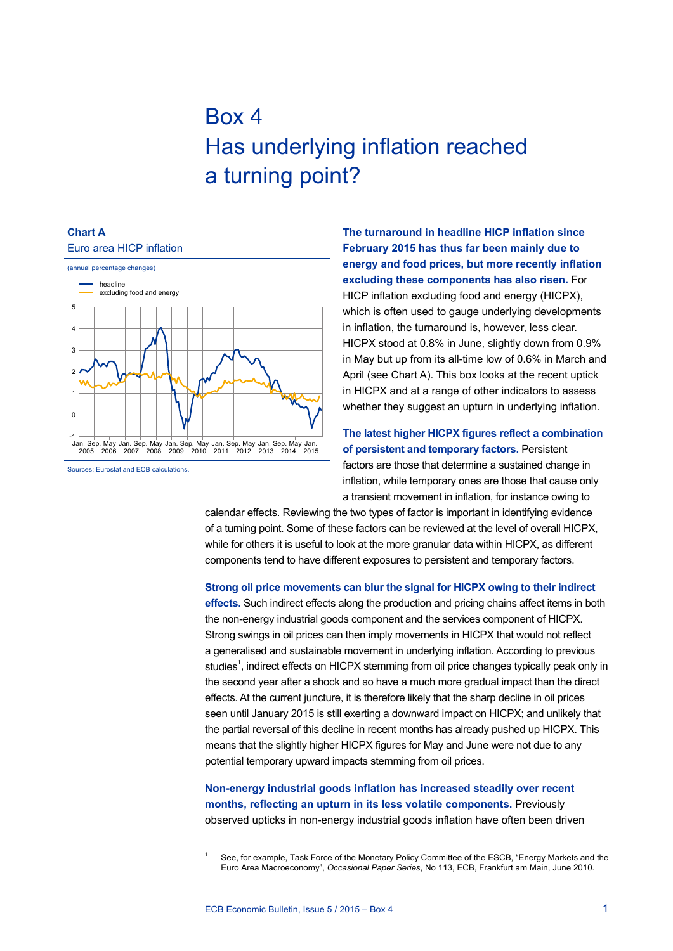# Box 4 Has underlying inflation reached a turning point?

## **Chart A**



**The turnaround in headline HICP inflation since February 2015 has thus far been mainly due to energy and food prices, but more recently inflation excluding these components has also risen.** For HICP inflation excluding food and energy (HICPX), which is often used to gauge underlying developments in inflation, the turnaround is, however, less clear. HICPX stood at 0.8% in June, slightly down from 0.9% in May but up from its all-time low of 0.6% in March and April (see Chart A). This box looks at the recent uptick in HICPX and at a range of other indicators to assess whether they suggest an upturn in underlying inflation.

#### **The latest higher HICPX figures reflect a combination of persistent and temporary factors.** Persistent

factors are those that determine a sustained change in inflation, while temporary ones are those that cause only a transient movement in inflation, for instance owing to

calendar effects. Reviewing the two types of factor is important in identifying evidence of a turning point. Some of these factors can be reviewed at the level of overall HICPX, while for others it is useful to look at the more granular data within HICPX, as different components tend to have different exposures to persistent and temporary factors.

#### **Strong oil price movements can blur the signal for HICPX owing to their indirect**

**effects.** Such indirect effects along the production and pricing chains affect items in both the non-energy industrial goods component and the services component of HICPX. Strong swings in oil prices can then imply movements in HICPX that would not reflect a generalised and sustainable movement in underlying inflation. According to previous studies<sup>1</sup>, indirect effects on HICPX stemming from oil price changes typically peak only in the second year after a shock and so have a much more gradual impact than the direct effects. At the current juncture, it is therefore likely that the sharp decline in oil prices seen until January 2015 is still exerting a downward impact on HICPX; and unlikely that the partial reversal of this decline in recent months has already pushed up HICPX. This means that the slightly higher HICPX figures for May and June were not due to any potential temporary upward impacts stemming from oil prices.

#### **Non-energy industrial goods inflation has increased steadily over recent months, reflecting an upturn in its less volatile components.** Previously observed upticks in non-energy industrial goods inflation have often been driven

See, for example, Task Force of the Monetary Policy Committee of the ESCB, "Energy Markets and the Euro Area Macroeconomy", *Occasional Paper Series*, No 113, ECB, Frankfurt am Main, June 2010.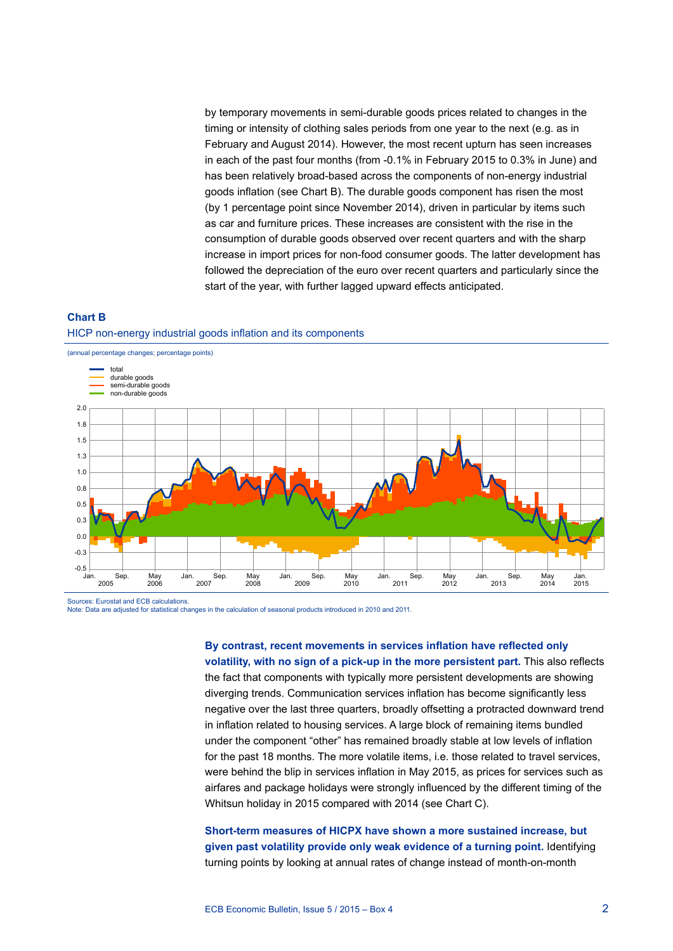by temporary movements in semi-durable goods prices related to changes in the timing or intensity of clothing sales periods from one year to the next (e.g. as in February and August 2014). However, the most recent upturn has seen increases in each of the past four months (from -0.1% in February 2015 to 0.3% in June) and has been relatively broad-based across the components of non-energy industrial goods inflation (see Chart B). The durable goods component has risen the most (by 1 percentage point since November 2014), driven in particular by items such as car and furniture prices. These increases are consistent with the rise in the consumption of durable goods observed over recent quarters and with the sharp increase in import prices for non-food consumer goods. The latter development has followed the depreciation of the euro over recent quarters and particularly since the start of the year, with further lagged upward effects anticipated.

### **Chart B** HICP non-energy industrial goods inflation and its components



Note: Data are adjusted for statistical changes in the calculation of seasonal products introduced in 2010 and 2011.

**By contrast, recent movements in services inflation have reflected only volatility, with no sign of a pick-up in the more persistent part.** This also reflects the fact that components with typically more persistent developments are showing diverging trends. Communication services inflation has become significantly less negative over the last three quarters, broadly offsetting a protracted downward trend in inflation related to housing services. A large block of remaining items bundled under the component "other" has remained broadly stable at low levels of inflation for the past 18 months. The more volatile items, i.e. those related to travel services, were behind the blip in services inflation in May 2015, as prices for services such as airfares and package holidays were strongly influenced by the different timing of the Whitsun holiday in 2015 compared with 2014 (see Chart C).

#### **Short-term measures of HICPX have shown a more sustained increase, but given past volatility provide only weak evidence of a turning point.** Identifying turning points by looking at annual rates of change instead of month-on-month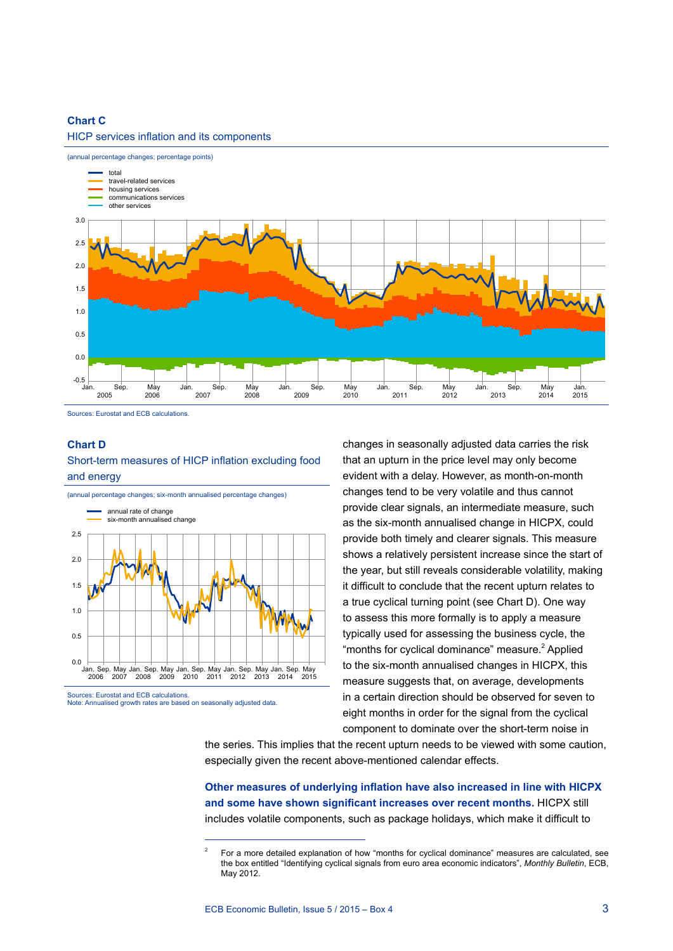#### **Chart C**

#### HICP services inflation and its components



Sources: Eurostat and ECB calculations.

#### **Chart D**

Short-term measures of HICP inflation excluding food and energy



Note: Annualised growth rates are based on seasonally adjusted data.

changes in seasonally adjusted data carries the risk that an upturn in the price level may only become evident with a delay. However, as month-on-month changes tend to be very volatile and thus cannot provide clear signals, an intermediate measure, such as the six-month annualised change in HICPX, could provide both timely and clearer signals. This measure shows a relatively persistent increase since the start of the year, but still reveals considerable volatility, making it difficult to conclude that the recent upturn relates to a true cyclical turning point (see Chart D). One way to assess this more formally is to apply a measure typically used for assessing the business cycle, the "months for cyclical dominance" measure.<sup>2</sup> Applied to the six-month annualised changes in HICPX, this measure suggests that, on average, developments in a certain direction should be observed for seven to eight months in order for the signal from the cyclical component to dominate over the short-term noise in

the series. This implies that the recent upturn needs to be viewed with some caution, especially given the recent above-mentioned calendar effects.

**Other measures of underlying inflation have also increased in line with HICPX and some have shown significant increases over recent months.** HICPX still includes volatile components, such as package holidays, which make it difficult to

<sup>2</sup> For a more detailed explanation of how "months for cyclical dominance" measures are calculated, see the box entitled "Identifying cyclical signals from euro area economic indicators", *Monthly Bulletin*, ECB, May 2012.